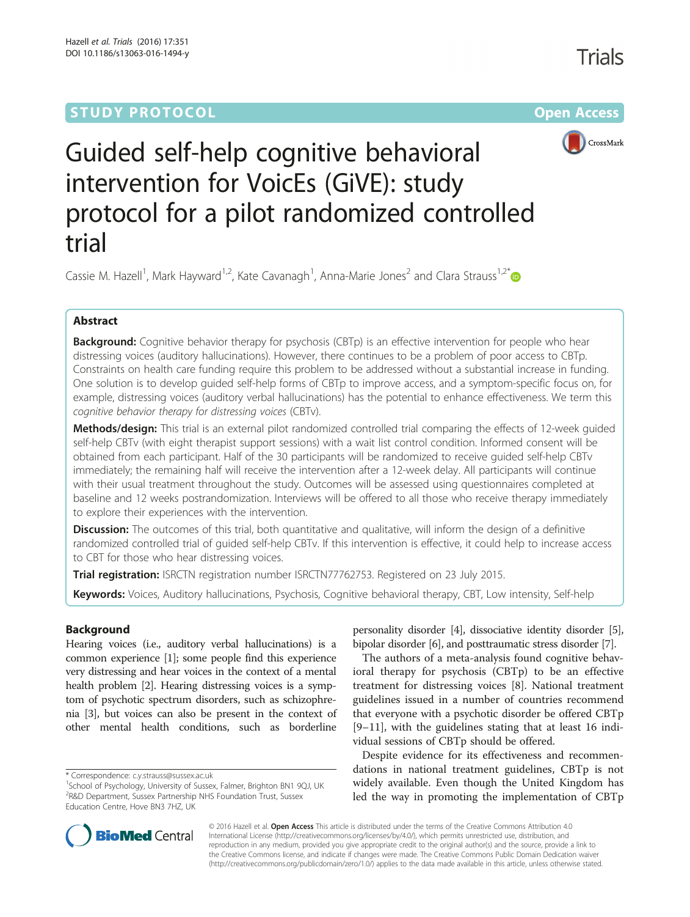# **STUDY PROTOCOL CONSUMING THE RESERVE ACCESS**



# Guided self-help cognitive behavioral intervention for VoicEs (GiVE): study protocol for a pilot randomized controlled trial

Cassie M. Hazell<sup>1</sup>, Mark Hayward<sup>1,2</sup>, Kate Cavanagh<sup>1</sup>, Anna-Marie Jones<sup>2</sup> and Clara Strauss<sup>1,2\*</sup>

# Abstract

**Background:** Cognitive behavior therapy for psychosis (CBTp) is an effective intervention for people who hear distressing voices (auditory hallucinations). However, there continues to be a problem of poor access to CBTp. Constraints on health care funding require this problem to be addressed without a substantial increase in funding. One solution is to develop guided self-help forms of CBTp to improve access, and a symptom-specific focus on, for example, distressing voices (auditory verbal hallucinations) has the potential to enhance effectiveness. We term this cognitive behavior therapy for distressing voices (CBTv).

Methods/design: This trial is an external pilot randomized controlled trial comparing the effects of 12-week guided self-help CBTv (with eight therapist support sessions) with a wait list control condition. Informed consent will be obtained from each participant. Half of the 30 participants will be randomized to receive guided self-help CBTv immediately; the remaining half will receive the intervention after a 12-week delay. All participants will continue with their usual treatment throughout the study. Outcomes will be assessed using questionnaires completed at baseline and 12 weeks postrandomization. Interviews will be offered to all those who receive therapy immediately to explore their experiences with the intervention.

Discussion: The outcomes of this trial, both quantitative and qualitative, will inform the design of a definitive randomized controlled trial of guided self-help CBTv. If this intervention is effective, it could help to increase access to CBT for those who hear distressing voices.

Trial registration: ISRCTN registration number [ISRCTN77762753](http://www.isrctn.com/ISRCTN77762753). Registered on 23 July 2015.

Keywords: Voices, Auditory hallucinations, Psychosis, Cognitive behavioral therapy, CBT, Low intensity, Self-help

# Background

Hearing voices (i.e., auditory verbal hallucinations) is a common experience [\[1](#page-6-0)]; some people find this experience very distressing and hear voices in the context of a mental health problem [\[2\]](#page-6-0). Hearing distressing voices is a symptom of psychotic spectrum disorders, such as schizophrenia [\[3\]](#page-6-0), but voices can also be present in the context of other mental health conditions, such as borderline

personality disorder [\[4\]](#page-6-0), dissociative identity disorder [[5](#page-6-0)], bipolar disorder [\[6\]](#page-6-0), and posttraumatic stress disorder [\[7](#page-6-0)].

The authors of a meta-analysis found cognitive behavioral therapy for psychosis (CBTp) to be an effective treatment for distressing voices [[8\]](#page-6-0). National treatment guidelines issued in a number of countries recommend that everyone with a psychotic disorder be offered CBTp [[9](#page-6-0)–[11\]](#page-6-0), with the guidelines stating that at least 16 individual sessions of CBTp should be offered.

Despite evidence for its effectiveness and recommendations in national treatment guidelines, CBTp is not widely available. Even though the United Kingdom has led the way in promoting the implementation of CBTp



© 2016 Hazell et al. Open Access This article is distributed under the terms of the Creative Commons Attribution 4.0 International License [\(http://creativecommons.org/licenses/by/4.0/](http://creativecommons.org/licenses/by/4.0/)), which permits unrestricted use, distribution, and reproduction in any medium, provided you give appropriate credit to the original author(s) and the source, provide a link to the Creative Commons license, and indicate if changes were made. The Creative Commons Public Domain Dedication waiver [\(http://creativecommons.org/publicdomain/zero/1.0/](http://creativecommons.org/publicdomain/zero/1.0/)) applies to the data made available in this article, unless otherwise stated.

<sup>\*</sup> Correspondence: [c.y.strauss@sussex.ac.uk](mailto:c.y.strauss@sussex.ac.uk) <sup>1</sup>

<sup>&</sup>lt;sup>1</sup>School of Psychology, University of Sussex, Falmer, Brighton BN1 9QJ, UK 2 R&D Department, Sussex Partnership NHS Foundation Trust, Sussex Education Centre, Hove BN3 7HZ, UK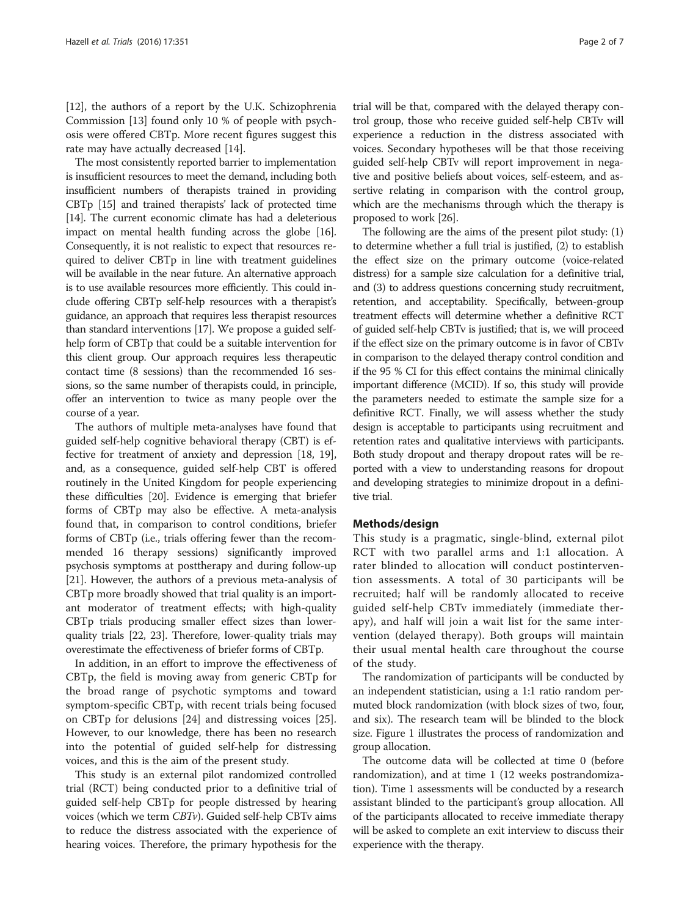[[12\]](#page-6-0), the authors of a report by the U.K. Schizophrenia Commission [\[13](#page-6-0)] found only 10 % of people with psychosis were offered CBTp. More recent figures suggest this rate may have actually decreased [[14\]](#page-6-0).

The most consistently reported barrier to implementation is insufficient resources to meet the demand, including both insufficient numbers of therapists trained in providing CBTp [[15](#page-6-0)] and trained therapists' lack of protected time [[14](#page-6-0)]. The current economic climate has had a deleterious impact on mental health funding across the globe [\[16](#page-6-0)]. Consequently, it is not realistic to expect that resources required to deliver CBTp in line with treatment guidelines will be available in the near future. An alternative approach is to use available resources more efficiently. This could include offering CBTp self-help resources with a therapist's guidance, an approach that requires less therapist resources than standard interventions [[17](#page-6-0)]. We propose a guided selfhelp form of CBTp that could be a suitable intervention for this client group. Our approach requires less therapeutic contact time (8 sessions) than the recommended 16 sessions, so the same number of therapists could, in principle, offer an intervention to twice as many people over the course of a year.

The authors of multiple meta-analyses have found that guided self-help cognitive behavioral therapy (CBT) is effective for treatment of anxiety and depression [[18](#page-6-0), [19](#page-6-0)], and, as a consequence, guided self-help CBT is offered routinely in the United Kingdom for people experiencing these difficulties [\[20\]](#page-6-0). Evidence is emerging that briefer forms of CBTp may also be effective. A meta-analysis found that, in comparison to control conditions, briefer forms of CBTp (i.e., trials offering fewer than the recommended 16 therapy sessions) significantly improved psychosis symptoms at posttherapy and during follow-up [[21](#page-6-0)]. However, the authors of a previous meta-analysis of CBTp more broadly showed that trial quality is an important moderator of treatment effects; with high-quality CBTp trials producing smaller effect sizes than lowerquality trials [\[22, 23](#page-6-0)]. Therefore, lower-quality trials may overestimate the effectiveness of briefer forms of CBTp.

In addition, in an effort to improve the effectiveness of CBTp, the field is moving away from generic CBTp for the broad range of psychotic symptoms and toward symptom-specific CBTp, with recent trials being focused on CBTp for delusions [\[24](#page-6-0)] and distressing voices [\[25](#page-6-0)]. However, to our knowledge, there has been no research into the potential of guided self-help for distressing voices, and this is the aim of the present study.

This study is an external pilot randomized controlled trial (RCT) being conducted prior to a definitive trial of guided self-help CBTp for people distressed by hearing voices (which we term CBTv). Guided self-help CBTv aims to reduce the distress associated with the experience of hearing voices. Therefore, the primary hypothesis for the

trial will be that, compared with the delayed therapy control group, those who receive guided self-help CBTv will experience a reduction in the distress associated with voices. Secondary hypotheses will be that those receiving guided self-help CBTv will report improvement in negative and positive beliefs about voices, self-esteem, and assertive relating in comparison with the control group, which are the mechanisms through which the therapy is proposed to work [\[26\]](#page-6-0).

The following are the aims of the present pilot study: (1) to determine whether a full trial is justified, (2) to establish the effect size on the primary outcome (voice-related distress) for a sample size calculation for a definitive trial, and (3) to address questions concerning study recruitment, retention, and acceptability. Specifically, between-group treatment effects will determine whether a definitive RCT of guided self-help CBTv is justified; that is, we will proceed if the effect size on the primary outcome is in favor of CBTv in comparison to the delayed therapy control condition and if the 95 % CI for this effect contains the minimal clinically important difference (MCID). If so, this study will provide the parameters needed to estimate the sample size for a definitive RCT. Finally, we will assess whether the study design is acceptable to participants using recruitment and retention rates and qualitative interviews with participants. Both study dropout and therapy dropout rates will be reported with a view to understanding reasons for dropout and developing strategies to minimize dropout in a definitive trial.

## Methods/design

This study is a pragmatic, single-blind, external pilot RCT with two parallel arms and 1:1 allocation. A rater blinded to allocation will conduct postintervention assessments. A total of 30 participants will be recruited; half will be randomly allocated to receive guided self-help CBTv immediately (immediate therapy), and half will join a wait list for the same intervention (delayed therapy). Both groups will maintain their usual mental health care throughout the course of the study.

The randomization of participants will be conducted by an independent statistician, using a 1:1 ratio random permuted block randomization (with block sizes of two, four, and six). The research team will be blinded to the block size. Figure [1](#page-2-0) illustrates the process of randomization and group allocation.

The outcome data will be collected at time 0 (before randomization), and at time 1 (12 weeks postrandomization). Time 1 assessments will be conducted by a research assistant blinded to the participant's group allocation. All of the participants allocated to receive immediate therapy will be asked to complete an exit interview to discuss their experience with the therapy.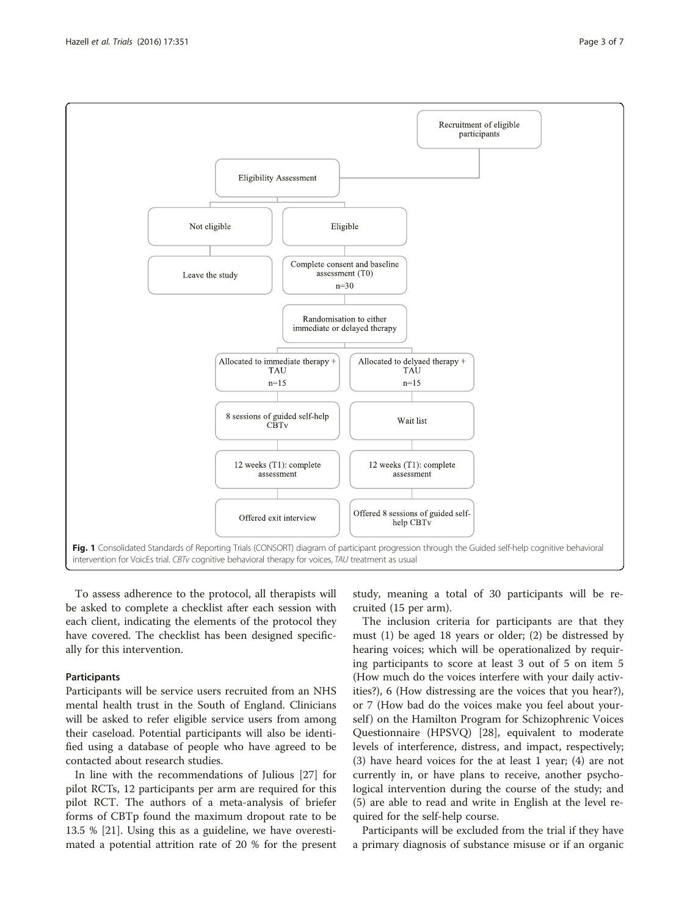<span id="page-2-0"></span>Hazell et al. Trials (2016) 17:351 Page 3 of 7



To assess adherence to the protocol, all therapists will be asked to complete a checklist after each session with each client, indicating the elements of the protocol they have covered. The checklist has been designed specifically for this intervention.

### Participants

Participants will be service users recruited from an NHS mental health trust in the South of England. Clinicians will be asked to refer eligible service users from among their caseload. Potential participants will also be identified using a database of people who have agreed to be contacted about research studies.

In line with the recommendations of Julious [[27](#page-6-0)] for pilot RCTs, 12 participants per arm are required for this pilot RCT. The authors of a meta-analysis of briefer forms of CBTp found the maximum dropout rate to be 13.5 % [[21\]](#page-6-0). Using this as a guideline, we have overestimated a potential attrition rate of 20 % for the present study, meaning a total of 30 participants will be recruited (15 per arm).

The inclusion criteria for participants are that they must (1) be aged 18 years or older; (2) be distressed by hearing voices; which will be operationalized by requiring participants to score at least 3 out of 5 on item 5 (How much do the voices interfere with your daily activities?), 6 (How distressing are the voices that you hear?), or 7 (How bad do the voices make you feel about yourself) on the Hamilton Program for Schizophrenic Voices Questionnaire (HPSVQ) [[28](#page-6-0)], equivalent to moderate levels of interference, distress, and impact, respectively; (3) have heard voices for the at least 1 year; (4) are not currently in, or have plans to receive, another psychological intervention during the course of the study; and (5) are able to read and write in English at the level required for the self-help course.

Participants will be excluded from the trial if they have a primary diagnosis of substance misuse or if an organic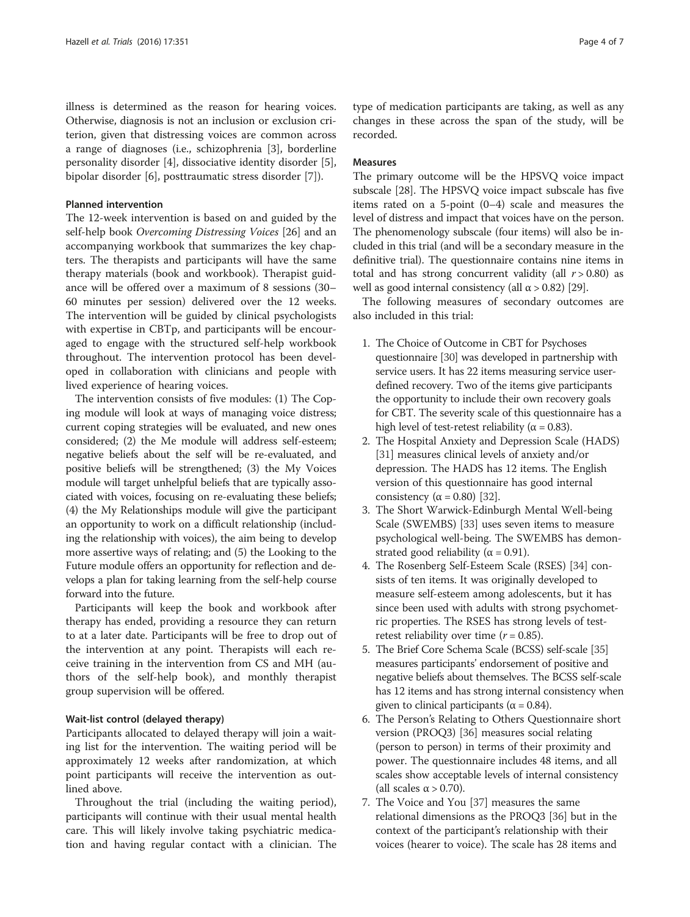illness is determined as the reason for hearing voices. Otherwise, diagnosis is not an inclusion or exclusion criterion, given that distressing voices are common across a range of diagnoses (i.e., schizophrenia [[3\]](#page-6-0), borderline personality disorder [\[4\]](#page-6-0), dissociative identity disorder [\[5](#page-6-0)], bipolar disorder [[6\]](#page-6-0), posttraumatic stress disorder [[7\]](#page-6-0)).

#### Planned intervention

The 12-week intervention is based on and guided by the self-help book Overcoming Distressing Voices [[26\]](#page-6-0) and an accompanying workbook that summarizes the key chapters. The therapists and participants will have the same therapy materials (book and workbook). Therapist guidance will be offered over a maximum of 8 sessions (30– 60 minutes per session) delivered over the 12 weeks. The intervention will be guided by clinical psychologists with expertise in CBTp, and participants will be encouraged to engage with the structured self-help workbook throughout. The intervention protocol has been developed in collaboration with clinicians and people with lived experience of hearing voices.

The intervention consists of five modules: (1) The Coping module will look at ways of managing voice distress; current coping strategies will be evaluated, and new ones considered; (2) the Me module will address self-esteem; negative beliefs about the self will be re-evaluated, and positive beliefs will be strengthened; (3) the My Voices module will target unhelpful beliefs that are typically associated with voices, focusing on re-evaluating these beliefs; (4) the My Relationships module will give the participant an opportunity to work on a difficult relationship (including the relationship with voices), the aim being to develop more assertive ways of relating; and (5) the Looking to the Future module offers an opportunity for reflection and develops a plan for taking learning from the self-help course forward into the future.

Participants will keep the book and workbook after therapy has ended, providing a resource they can return to at a later date. Participants will be free to drop out of the intervention at any point. Therapists will each receive training in the intervention from CS and MH (authors of the self-help book), and monthly therapist group supervision will be offered.

## Wait-list control (delayed therapy)

Participants allocated to delayed therapy will join a waiting list for the intervention. The waiting period will be approximately 12 weeks after randomization, at which point participants will receive the intervention as outlined above.

Throughout the trial (including the waiting period), participants will continue with their usual mental health care. This will likely involve taking psychiatric medication and having regular contact with a clinician. The

type of medication participants are taking, as well as any changes in these across the span of the study, will be recorded.

## Measures

The primary outcome will be the HPSVQ voice impact subscale [\[28\]](#page-6-0). The HPSVQ voice impact subscale has five items rated on a 5-point (0–4) scale and measures the level of distress and impact that voices have on the person. The phenomenology subscale (four items) will also be included in this trial (and will be a secondary measure in the definitive trial). The questionnaire contains nine items in total and has strong concurrent validity (all  $r > 0.80$ ) as well as good internal consistency (all  $\alpha$  > 0.82) [\[29\]](#page-6-0).

The following measures of secondary outcomes are also included in this trial:

- 1. The Choice of Outcome in CBT for Psychoses questionnaire [\[30\]](#page-6-0) was developed in partnership with service users. It has 22 items measuring service userdefined recovery. Two of the items give participants the opportunity to include their own recovery goals for CBT. The severity scale of this questionnaire has a high level of test-retest reliability ( $α = 0.83$ ).
- 2. The Hospital Anxiety and Depression Scale (HADS) [[31](#page-6-0)] measures clinical levels of anxiety and/or depression. The HADS has 12 items. The English version of this questionnaire has good internal consistency ( $\alpha$  = 0.80) [\[32\]](#page-6-0).
- 3. The Short Warwick-Edinburgh Mental Well-being Scale (SWEMBS) [\[33\]](#page-6-0) uses seven items to measure psychological well-being. The SWEMBS has demonstrated good reliability ( $\alpha$  = 0.91).
- 4. The Rosenberg Self-Esteem Scale (RSES) [[34\]](#page-6-0) consists of ten items. It was originally developed to measure self-esteem among adolescents, but it has since been used with adults with strong psychometric properties. The RSES has strong levels of testretest reliability over time  $(r = 0.85)$ .
- 5. The Brief Core Schema Scale (BCSS) self-scale [\[35](#page-6-0)] measures participants' endorsement of positive and negative beliefs about themselves. The BCSS self-scale has 12 items and has strong internal consistency when given to clinical participants ( $\alpha$  = 0.84).
- 6. The Person's Relating to Others Questionnaire short version (PROQ3) [[36](#page-6-0)] measures social relating (person to person) in terms of their proximity and power. The questionnaire includes 48 items, and all scales show acceptable levels of internal consistency (all scales  $\alpha$  > 0.70).
- 7. The Voice and You [[37](#page-6-0)] measures the same relational dimensions as the PROQ3 [\[36\]](#page-6-0) but in the context of the participant's relationship with their voices (hearer to voice). The scale has 28 items and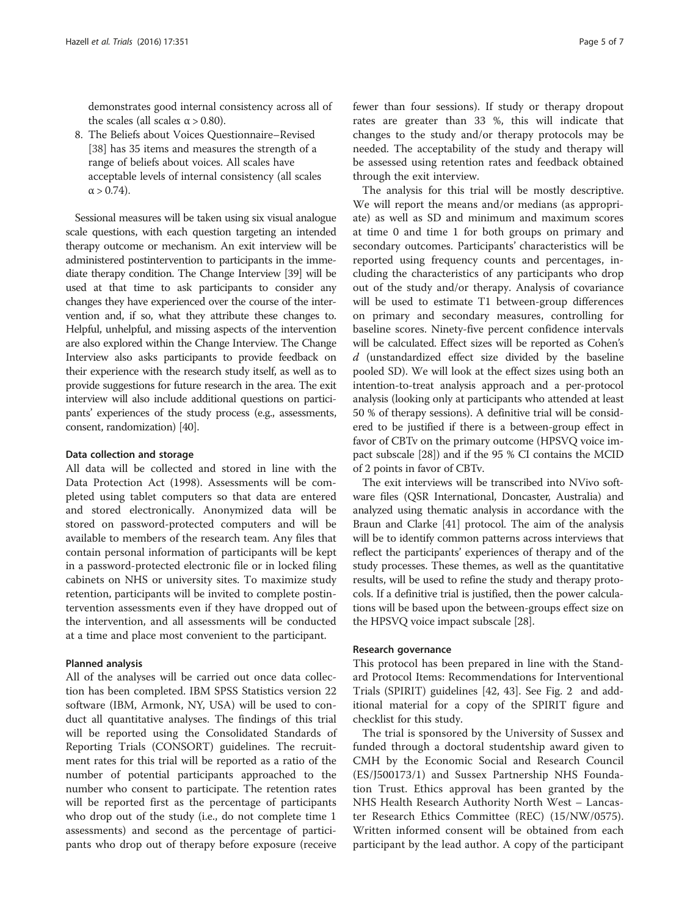demonstrates good internal consistency across all of the scales (all scales  $\alpha$  > 0.80).

8. The Beliefs about Voices Questionnaire–Revised [\[38](#page-6-0)] has 35 items and measures the strength of a range of beliefs about voices. All scales have acceptable levels of internal consistency (all scales  $α > 0.74$ ).

Sessional measures will be taken using six visual analogue scale questions, with each question targeting an intended therapy outcome or mechanism. An exit interview will be administered postintervention to participants in the immediate therapy condition. The Change Interview [[39\]](#page-6-0) will be used at that time to ask participants to consider any changes they have experienced over the course of the intervention and, if so, what they attribute these changes to. Helpful, unhelpful, and missing aspects of the intervention are also explored within the Change Interview. The Change Interview also asks participants to provide feedback on their experience with the research study itself, as well as to provide suggestions for future research in the area. The exit interview will also include additional questions on participants' experiences of the study process (e.g., assessments, consent, randomization) [[40\]](#page-6-0).

#### Data collection and storage

All data will be collected and stored in line with the Data Protection Act (1998). Assessments will be completed using tablet computers so that data are entered and stored electronically. Anonymized data will be stored on password-protected computers and will be available to members of the research team. Any files that contain personal information of participants will be kept in a password-protected electronic file or in locked filing cabinets on NHS or university sites. To maximize study retention, participants will be invited to complete postintervention assessments even if they have dropped out of the intervention, and all assessments will be conducted at a time and place most convenient to the participant.

#### Planned analysis

All of the analyses will be carried out once data collection has been completed. IBM SPSS Statistics version 22 software (IBM, Armonk, NY, USA) will be used to conduct all quantitative analyses. The findings of this trial will be reported using the Consolidated Standards of Reporting Trials (CONSORT) guidelines. The recruitment rates for this trial will be reported as a ratio of the number of potential participants approached to the number who consent to participate. The retention rates will be reported first as the percentage of participants who drop out of the study (i.e., do not complete time 1 assessments) and second as the percentage of participants who drop out of therapy before exposure (receive fewer than four sessions). If study or therapy dropout rates are greater than 33 %, this will indicate that changes to the study and/or therapy protocols may be needed. The acceptability of the study and therapy will be assessed using retention rates and feedback obtained through the exit interview.

The analysis for this trial will be mostly descriptive. We will report the means and/or medians (as appropriate) as well as SD and minimum and maximum scores at time 0 and time 1 for both groups on primary and secondary outcomes. Participants' characteristics will be reported using frequency counts and percentages, including the characteristics of any participants who drop out of the study and/or therapy. Analysis of covariance will be used to estimate T1 between-group differences on primary and secondary measures, controlling for baseline scores. Ninety-five percent confidence intervals will be calculated. Effect sizes will be reported as Cohen's d (unstandardized effect size divided by the baseline pooled SD). We will look at the effect sizes using both an intention-to-treat analysis approach and a per-protocol analysis (looking only at participants who attended at least 50 % of therapy sessions). A definitive trial will be considered to be justified if there is a between-group effect in favor of CBTv on the primary outcome (HPSVQ voice impact subscale [\[28\]](#page-6-0)) and if the 95 % CI contains the MCID of 2 points in favor of CBTv.

The exit interviews will be transcribed into NVivo software files (QSR International, Doncaster, Australia) and analyzed using thematic analysis in accordance with the Braun and Clarke [[41](#page-6-0)] protocol. The aim of the analysis will be to identify common patterns across interviews that reflect the participants' experiences of therapy and of the study processes. These themes, as well as the quantitative results, will be used to refine the study and therapy protocols. If a definitive trial is justified, then the power calculations will be based upon the between-groups effect size on the HPSVQ voice impact subscale [[28](#page-6-0)].

#### Research governance

This protocol has been prepared in line with the Standard Protocol Items: Recommendations for Interventional Trials (SPIRIT) guidelines [\[42](#page-6-0), [43\]](#page-6-0). See Fig. [2 a](#page-5-0)nd additional material for a copy of the SPIRIT figure and checklist for this study.

The trial is sponsored by the University of Sussex and funded through a doctoral studentship award given to CMH by the Economic Social and Research Council (ES/J500173/1) and Sussex Partnership NHS Foundation Trust. Ethics approval has been granted by the NHS Health Research Authority North West – Lancaster Research Ethics Committee (REC) (15/NW/0575). Written informed consent will be obtained from each participant by the lead author. A copy of the participant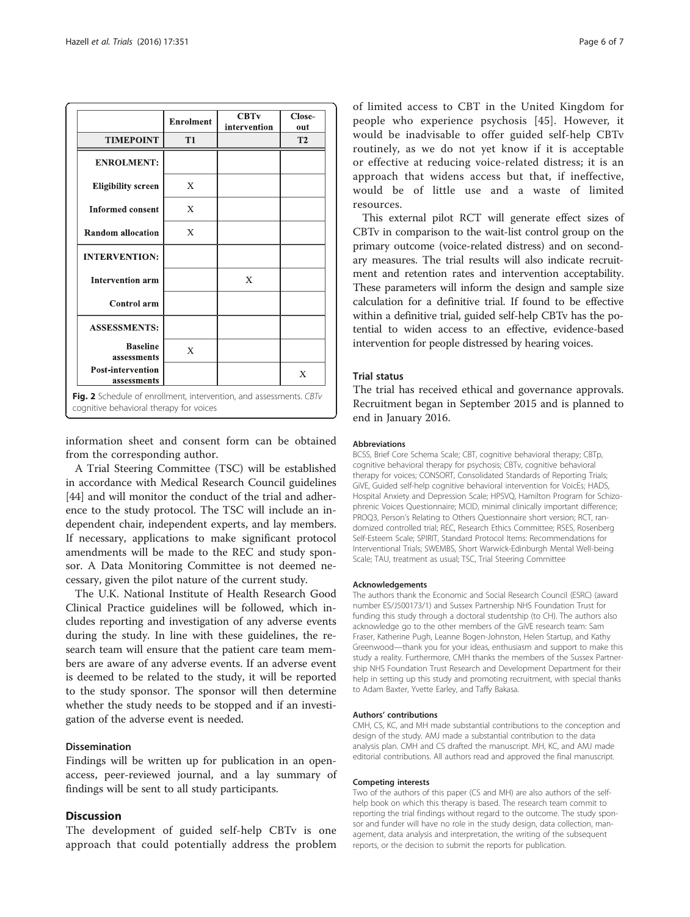<span id="page-5-0"></span>

|                                                                                                               | <b>Enrolment</b> | <b>CBTv</b><br>intervention | Close-<br>out |
|---------------------------------------------------------------------------------------------------------------|------------------|-----------------------------|---------------|
| <b>TIMEPOINT</b>                                                                                              | <b>T1</b>        |                             | T2            |
| <b>ENROLMENT:</b>                                                                                             |                  |                             |               |
| <b>Eligibility screen</b>                                                                                     | X                |                             |               |
| <b>Informed consent</b>                                                                                       | X                |                             |               |
| <b>Random allocation</b>                                                                                      | X                |                             |               |
| <b>INTERVENTION:</b>                                                                                          |                  |                             |               |
| <b>Intervention arm</b>                                                                                       |                  | X                           |               |
| Control arm                                                                                                   |                  |                             |               |
| <b>ASSESSMENTS:</b>                                                                                           |                  |                             |               |
| <b>Baseline</b><br>assessments                                                                                | X                |                             |               |
| <b>Post-intervention</b><br>assessments                                                                       |                  |                             | Х             |
| Fig. 2 Schedule of enrollment, intervention, and assessments. CBTv<br>cognitive behavioral therapy for voices |                  |                             |               |

information sheet and consent form can be obtained from the corresponding author.

A Trial Steering Committee (TSC) will be established in accordance with Medical Research Council guidelines [[44\]](#page-6-0) and will monitor the conduct of the trial and adherence to the study protocol. The TSC will include an independent chair, independent experts, and lay members. If necessary, applications to make significant protocol amendments will be made to the REC and study sponsor. A Data Monitoring Committee is not deemed necessary, given the pilot nature of the current study.

The U.K. National Institute of Health Research Good Clinical Practice guidelines will be followed, which includes reporting and investigation of any adverse events during the study. In line with these guidelines, the research team will ensure that the patient care team members are aware of any adverse events. If an adverse event is deemed to be related to the study, it will be reported to the study sponsor. The sponsor will then determine whether the study needs to be stopped and if an investigation of the adverse event is needed.

# Dissemination

Findings will be written up for publication in an openaccess, peer-reviewed journal, and a lay summary of findings will be sent to all study participants.

#### **Discussion**

The development of guided self-help CBTv is one approach that could potentially address the problem

of limited access to CBT in the United Kingdom for people who experience psychosis [[45\]](#page-6-0). However, it would be inadvisable to offer guided self-help CBTv routinely, as we do not yet know if it is acceptable or effective at reducing voice-related distress; it is an approach that widens access but that, if ineffective, would be of little use and a waste of limited resources.

This external pilot RCT will generate effect sizes of CBTv in comparison to the wait-list control group on the primary outcome (voice-related distress) and on secondary measures. The trial results will also indicate recruitment and retention rates and intervention acceptability. These parameters will inform the design and sample size calculation for a definitive trial. If found to be effective within a definitive trial, guided self-help CBTv has the potential to widen access to an effective, evidence-based intervention for people distressed by hearing voices.

#### Trial status

The trial has received ethical and governance approvals. Recruitment began in September 2015 and is planned to end in January 2016.

#### Abbreviations

BCSS, Brief Core Schema Scale; CBT, cognitive behavioral therapy; CBTp, cognitive behavioral therapy for psychosis; CBTv, cognitive behavioral therapy for voices; CONSORT, Consolidated Standards of Reporting Trials; GiVE, Guided self-help cognitive behavioral intervention for VoicEs; HADS, Hospital Anxiety and Depression Scale; HPSVQ, Hamilton Program for Schizophrenic Voices Questionnaire; MCID, minimal clinically important difference; PROQ3, Person's Relating to Others Questionnaire short version; RCT, randomized controlled trial; REC, Research Ethics Committee; RSES, Rosenberg Self-Esteem Scale; SPIRIT, Standard Protocol Items: Recommendations for Interventional Trials; SWEMBS, Short Warwick-Edinburgh Mental Well-being Scale; TAU, treatment as usual; TSC, Trial Steering Committee

#### Acknowledgements

The authors thank the Economic and Social Research Council (ESRC) (award number ES/J500173/1) and Sussex Partnership NHS Foundation Trust for funding this study through a doctoral studentship (to CH). The authors also acknowledge go to the other members of the GiVE research team: Sam Fraser, Katherine Pugh, Leanne Bogen-Johnston, Helen Startup, and Kathy Greenwood—thank you for your ideas, enthusiasm and support to make this study a reality. Furthermore, CMH thanks the members of the Sussex Partnership NHS Foundation Trust Research and Development Department for their help in setting up this study and promoting recruitment, with special thanks to Adam Baxter, Yvette Earley, and Taffy Bakasa.

#### Authors' contributions

CMH, CS, KC, and MH made substantial contributions to the conception and design of the study. AMJ made a substantial contribution to the data analysis plan. CMH and CS drafted the manuscript. MH, KC, and AMJ made editorial contributions. All authors read and approved the final manuscript.

#### Competing interests

Two of the authors of this paper (CS and MH) are also authors of the selfhelp book on which this therapy is based. The research team commit to reporting the trial findings without regard to the outcome. The study sponsor and funder will have no role in the study design, data collection, management, data analysis and interpretation, the writing of the subsequent reports, or the decision to submit the reports for publication.